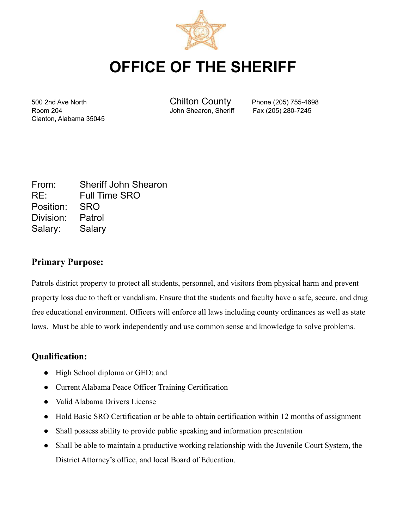

# **OFFICE OF THE SHERIFF**

Room 204 John Shearon, Sheriff Fax (205) 280-7245 Clanton, Alabama 35045

500 2nd Ave North Chilton County Phone (205) 755-4698

| From:            | <b>Sheriff John Shearon</b> |
|------------------|-----------------------------|
| RE:              | <b>Full Time SRO</b>        |
| Position: SRO    |                             |
| Division: Patrol |                             |
| Salary: Salary   |                             |

### **Primary Purpose:**

Patrols district property to protect all students, personnel, and visitors from physical harm and prevent property loss due to theft or vandalism. Ensure that the students and faculty have a safe, secure, and drug free educational environment. Officers will enforce all laws including county ordinances as well as state laws. Must be able to work independently and use common sense and knowledge to solve problems.

### **Qualification:**

- High School diploma or GED; and
- Current Alabama Peace Officer Training Certification
- Valid Alabama Drivers License
- Hold Basic SRO Certification or be able to obtain certification within 12 months of assignment
- Shall possess ability to provide public speaking and information presentation
- Shall be able to maintain a productive working relationship with the Juvenile Court System, the District Attorney's office, and local Board of Education.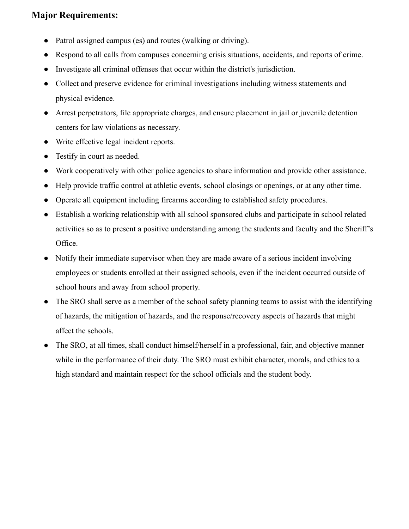## **Major Requirements:**

- Patrol assigned campus (es) and routes (walking or driving).
- Respond to all calls from campuses concerning crisis situations, accidents, and reports of crime.
- Investigate all criminal offenses that occur within the district's jurisdiction.
- Collect and preserve evidence for criminal investigations including witness statements and physical evidence.
- Arrest perpetrators, file appropriate charges, and ensure placement in jail or juvenile detention centers for law violations as necessary.
- Write effective legal incident reports.
- Testify in court as needed.
- Work cooperatively with other police agencies to share information and provide other assistance.
- Help provide traffic control at athletic events, school closings or openings, or at any other time.
- Operate all equipment including firearms according to established safety procedures.
- Establish a working relationship with all school sponsored clubs and participate in school related activities so as to present a positive understanding among the students and faculty and the Sheriff's Office.
- Notify their immediate supervisor when they are made aware of a serious incident involving employees or students enrolled at their assigned schools, even if the incident occurred outside of school hours and away from school property.
- The SRO shall serve as a member of the school safety planning teams to assist with the identifying of hazards, the mitigation of hazards, and the response/recovery aspects of hazards that might affect the schools.
- The SRO, at all times, shall conduct himself/herself in a professional, fair, and objective manner while in the performance of their duty. The SRO must exhibit character, morals, and ethics to a high standard and maintain respect for the school officials and the student body.